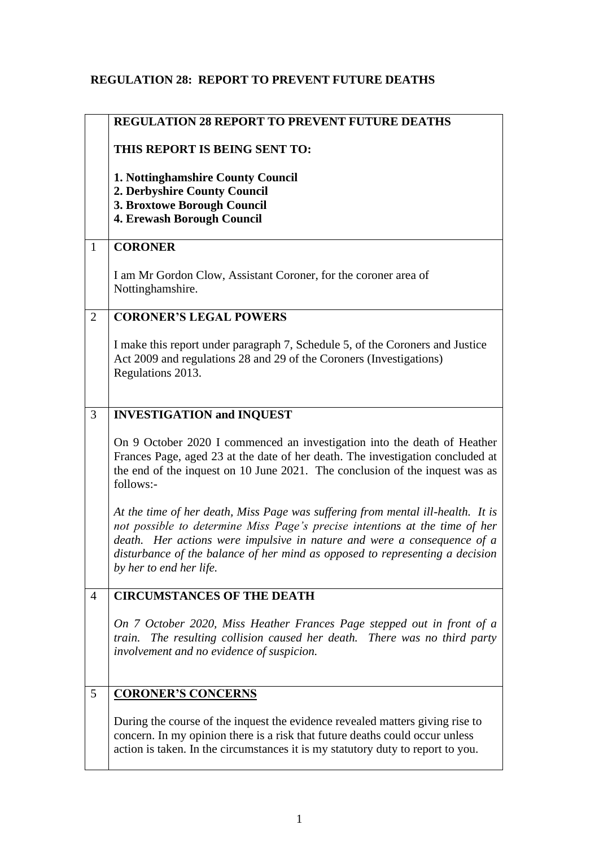## **REGULATION 28: REPORT TO PREVENT FUTURE DEATHS**

|                | <b>REGULATION 28 REPORT TO PREVENT FUTURE DEATHS</b>                                                                                                                                                                                                                                                                                                 |
|----------------|------------------------------------------------------------------------------------------------------------------------------------------------------------------------------------------------------------------------------------------------------------------------------------------------------------------------------------------------------|
|                | THIS REPORT IS BEING SENT TO:                                                                                                                                                                                                                                                                                                                        |
|                | 1. Nottinghamshire County Council<br>2. Derbyshire County Council<br>3. Broxtowe Borough Council<br>4. Erewash Borough Council                                                                                                                                                                                                                       |
| $\mathbf{1}$   | <b>CORONER</b>                                                                                                                                                                                                                                                                                                                                       |
|                | I am Mr Gordon Clow, Assistant Coroner, for the coroner area of<br>Nottinghamshire.                                                                                                                                                                                                                                                                  |
| $\overline{2}$ | <b>CORONER'S LEGAL POWERS</b>                                                                                                                                                                                                                                                                                                                        |
|                | I make this report under paragraph 7, Schedule 5, of the Coroners and Justice<br>Act 2009 and regulations 28 and 29 of the Coroners (Investigations)<br>Regulations 2013.                                                                                                                                                                            |
| 3              | <b>INVESTIGATION and INQUEST</b>                                                                                                                                                                                                                                                                                                                     |
|                | On 9 October 2020 I commenced an investigation into the death of Heather<br>Frances Page, aged 23 at the date of her death. The investigation concluded at<br>the end of the inquest on 10 June 2021. The conclusion of the inquest was as<br>follows:-                                                                                              |
|                | At the time of her death, Miss Page was suffering from mental ill-health. It is<br>not possible to determine Miss Page's precise intentions at the time of her<br>death. Her actions were impulsive in nature and were a consequence of a<br>disturbance of the balance of her mind as opposed to representing a decision<br>by her to end her life. |
| $\overline{4}$ | <b>CIRCUMSTANCES OF THE DEATH</b>                                                                                                                                                                                                                                                                                                                    |
|                | On 7 October 2020, Miss Heather Frances Page stepped out in front of a<br>The resulting collision caused her death. There was no third party<br>train.<br>involvement and no evidence of suspicion.                                                                                                                                                  |
| 5              | <b>CORONER'S CONCERNS</b>                                                                                                                                                                                                                                                                                                                            |
|                | During the course of the inquest the evidence revealed matters giving rise to<br>concern. In my opinion there is a risk that future deaths could occur unless<br>action is taken. In the circumstances it is my statutory duty to report to you.                                                                                                     |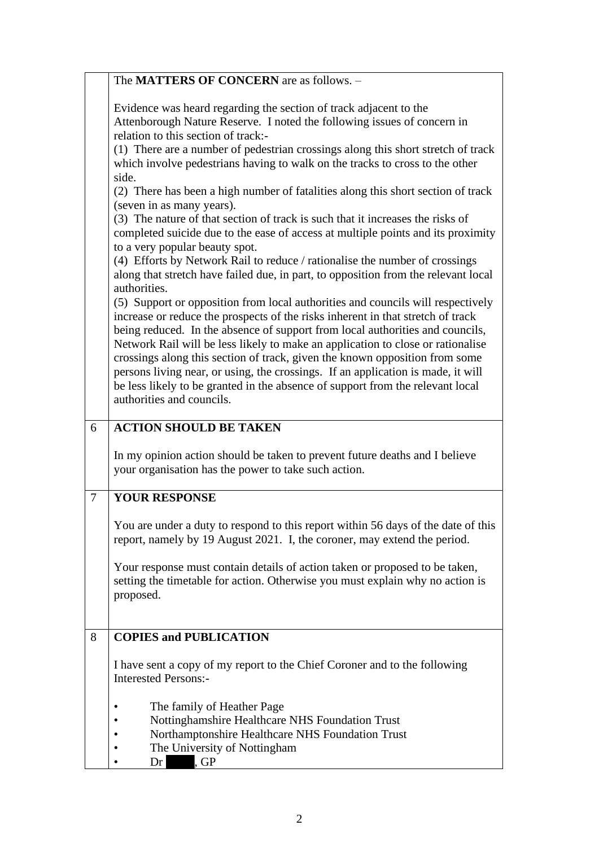|                | The <b>MATTERS OF CONCERN</b> are as follows. -                                                                                                                                                                                                                                                                                                                                                                                                                                                                                                                                                                                                                                                                                                                          |
|----------------|--------------------------------------------------------------------------------------------------------------------------------------------------------------------------------------------------------------------------------------------------------------------------------------------------------------------------------------------------------------------------------------------------------------------------------------------------------------------------------------------------------------------------------------------------------------------------------------------------------------------------------------------------------------------------------------------------------------------------------------------------------------------------|
|                | Evidence was heard regarding the section of track adjacent to the<br>Attenborough Nature Reserve. I noted the following issues of concern in<br>relation to this section of track:-<br>(1) There are a number of pedestrian crossings along this short stretch of track<br>which involve pedestrians having to walk on the tracks to cross to the other<br>side.<br>(2) There has been a high number of fatalities along this short section of track<br>(seven in as many years).<br>(3) The nature of that section of track is such that it increases the risks of<br>completed suicide due to the ease of access at multiple points and its proximity<br>to a very popular beauty spot.<br>(4) Efforts by Network Rail to reduce / rationalise the number of crossings |
|                | along that stretch have failed due, in part, to opposition from the relevant local<br>authorities.<br>(5) Support or opposition from local authorities and councils will respectively<br>increase or reduce the prospects of the risks inherent in that stretch of track<br>being reduced. In the absence of support from local authorities and councils,<br>Network Rail will be less likely to make an application to close or rationalise<br>crossings along this section of track, given the known opposition from some<br>persons living near, or using, the crossings. If an application is made, it will<br>be less likely to be granted in the absence of support from the relevant local<br>authorities and councils.                                           |
| 6              | <b>ACTION SHOULD BE TAKEN</b>                                                                                                                                                                                                                                                                                                                                                                                                                                                                                                                                                                                                                                                                                                                                            |
|                | In my opinion action should be taken to prevent future deaths and I believe<br>your organisation has the power to take such action.                                                                                                                                                                                                                                                                                                                                                                                                                                                                                                                                                                                                                                      |
| $\overline{7}$ | <b>YOUR RESPONSE</b>                                                                                                                                                                                                                                                                                                                                                                                                                                                                                                                                                                                                                                                                                                                                                     |
|                | You are under a duty to respond to this report within 56 days of the date of this<br>report, namely by 19 August 2021. I, the coroner, may extend the period.                                                                                                                                                                                                                                                                                                                                                                                                                                                                                                                                                                                                            |
|                | Your response must contain details of action taken or proposed to be taken,<br>setting the timetable for action. Otherwise you must explain why no action is<br>proposed.                                                                                                                                                                                                                                                                                                                                                                                                                                                                                                                                                                                                |
| 8              | <b>COPIES and PUBLICATION</b>                                                                                                                                                                                                                                                                                                                                                                                                                                                                                                                                                                                                                                                                                                                                            |
|                | I have sent a copy of my report to the Chief Coroner and to the following<br><b>Interested Persons:-</b>                                                                                                                                                                                                                                                                                                                                                                                                                                                                                                                                                                                                                                                                 |
|                | The family of Heather Page<br>٠<br>Nottinghamshire Healthcare NHS Foundation Trust<br>Northamptonshire Healthcare NHS Foundation Trust<br>The University of Nottingham<br>.GP<br>Dr                                                                                                                                                                                                                                                                                                                                                                                                                                                                                                                                                                                      |